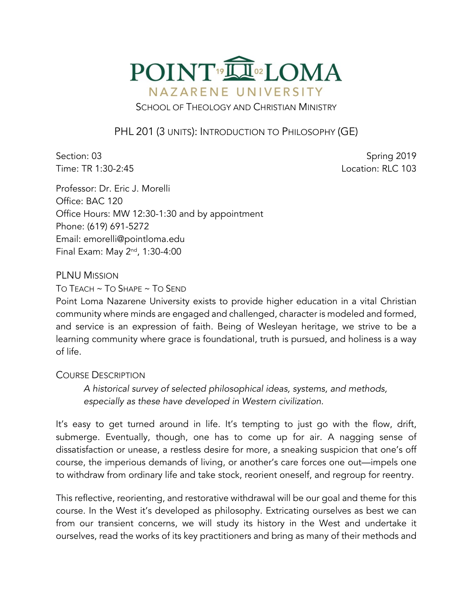

SCHOOL OF THEOLOGY AND CHRISTIAN MINISTRY

PHL 201 (3 UNITS): INTRODUCTION TO PHILOSOPHY (GE)

Section: 03 Spring 2019 Time: TR 1:30-2:45 Location: RLC 103

Professor: Dr. Eric J. Morelli Office: BAC 120 Office Hours: MW 12:30-1:30 and by appointment Phone: (619) 691-5272 Email: emorelli@pointloma.edu Final Exam: May 2nd, 1:30-4:00

PLNU MISSION

TO TEACH ~ TO SHAPE ~ TO SEND

Point Loma Nazarene University exists to provide higher education in a vital Christian community where minds are engaged and challenged, character is modeled and formed, and service is an expression of faith. Being of Wesleyan heritage, we strive to be a learning community where grace is foundational, truth is pursued, and holiness is a way of life.

#### COURSE DESCRIPTION

*A historical survey of selected philosophical ideas, systems, and methods, especially as these have developed in Western civilization.*

It's easy to get turned around in life. It's tempting to just go with the flow, drift, submerge. Eventually, though, one has to come up for air. A nagging sense of dissatisfaction or unease, a restless desire for more, a sneaking suspicion that one's off course, the imperious demands of living, or another's care forces one out—impels one to withdraw from ordinary life and take stock, reorient oneself, and regroup for reentry.

This reflective, reorienting, and restorative withdrawal will be our goal and theme for this course. In the West it's developed as philosophy. Extricating ourselves as best we can from our transient concerns, we will study its history in the West and undertake it ourselves, read the works of its key practitioners and bring as many of their methods and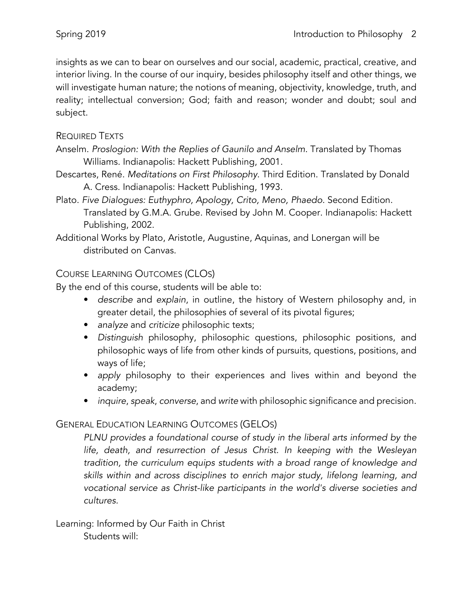insights as we can to bear on ourselves and our social, academic, practical, creative, and interior living. In the course of our inquiry, besides philosophy itself and other things, we will investigate human nature; the notions of meaning, objectivity, knowledge, truth, and reality; intellectual conversion; God; faith and reason; wonder and doubt; soul and subject.

### REQUIRED TEXTS

- Anselm. *Proslogion: With the Replies of Gaunilo and Anselm*. Translated by Thomas Williams. Indianapolis: Hackett Publishing, 2001.
- Descartes, René. *Meditations on First Philosophy*. Third Edition. Translated by Donald A. Cress. Indianapolis: Hackett Publishing, 1993.
- Plato. *Five Dialogues: Euthyphro, Apology, Crito, Meno, Phaedo*. Second Edition. Translated by G.M.A. Grube. Revised by John M. Cooper. Indianapolis: Hackett Publishing, 2002.
- Additional Works by Plato, Aristotle, Augustine, Aquinas, and Lonergan will be distributed on Canvas.

# COURSE LEARNING OUTCOMES (CLOS)

By the end of this course, students will be able to:

- *describe* and *explain*, in outline, the history of Western philosophy and, in greater detail, the philosophies of several of its pivotal figures;
- *analyze* and *criticize* philosophic texts;
- *Distinguish* philosophy, philosophic questions, philosophic positions, and philosophic ways of life from other kinds of pursuits, questions, positions, and ways of life;
- *apply* philosophy to their experiences and lives within and beyond the academy;
- *inquire*, *speak*, *converse*, and *write* with philosophic significance and precision.

# GENERAL EDUCATION LEARNING OUTCOMES (GELOS)

*PLNU provides a foundational course of study in the liberal arts informed by the life, death, and resurrection of Jesus Christ. In keeping with the Wesleyan tradition, the curriculum equips students with a broad range of knowledge and skills within and across disciplines to enrich major study, lifelong learning, and vocational service as Christ-like participants in the world's diverse societies and cultures.*

Learning: Informed by Our Faith in Christ Students will: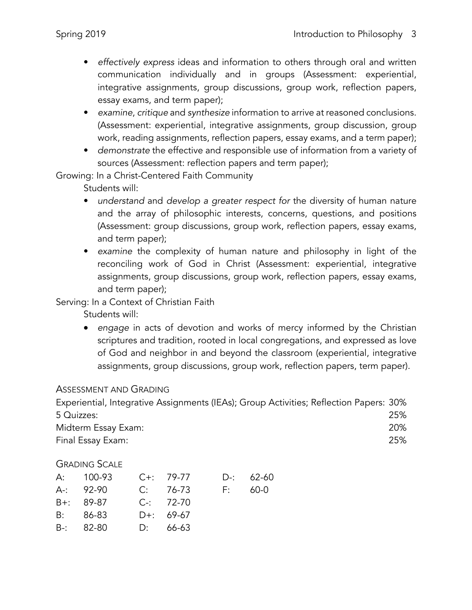- *effectively express* ideas and information to others through oral and written communication individually and in groups (Assessment: experiential, integrative assignments, group discussions, group work, reflection papers, essay exams, and term paper);
- *examine*, *critique* and *synthesize* information to arrive at reasoned conclusions. (Assessment: experiential, integrative assignments, group discussion, group work, reading assignments, reflection papers, essay exams, and a term paper);
- *demonstrate* the effective and responsible use of information from a variety of sources (Assessment: reflection papers and term paper);

Growing: In a Christ-Centered Faith Community

Students will:

- *understand* and *develop a greater respect for* the diversity of human nature and the array of philosophic interests, concerns, questions, and positions (Assessment: group discussions, group work, reflection papers, essay exams, and term paper);
- *examine* the complexity of human nature and philosophy in light of the reconciling work of God in Christ (Assessment: experiential, integrative assignments, group discussions, group work, reflection papers, essay exams, and term paper);

### Serving: In a Context of Christian Faith

Students will:

• *engage* in acts of devotion and works of mercy informed by the Christian scriptures and tradition, rooted in local congregations, and expressed as love of God and neighbor in and beyond the classroom (experiential, integrative assignments, group discussions, group work, reflection papers, term paper).

### ASSESSMENT AND GRADING

| Experiential, Integrative Assignments (IEAs); Group Activities; Reflection Papers: 30% |     |
|----------------------------------------------------------------------------------------|-----|
| 5 Quizzes:                                                                             | 25% |
| Midterm Essay Exam:                                                                    | 20% |
| Final Essay Exam:                                                                      | 25% |

# GRADING SCALE

| A: 100-93 C+: 79-77 |               |         | D-: 62-60 |
|---------------------|---------------|---------|-----------|
| $A - 92 - 90$       | C: 76-73      | E: 60-0 |           |
| B+: 89-87           | $C-2$ : 72-70 |         |           |
| B: 86-83            | D+: 69-67     |         |           |
| $B-$ : 82-80        | D: 66-63      |         |           |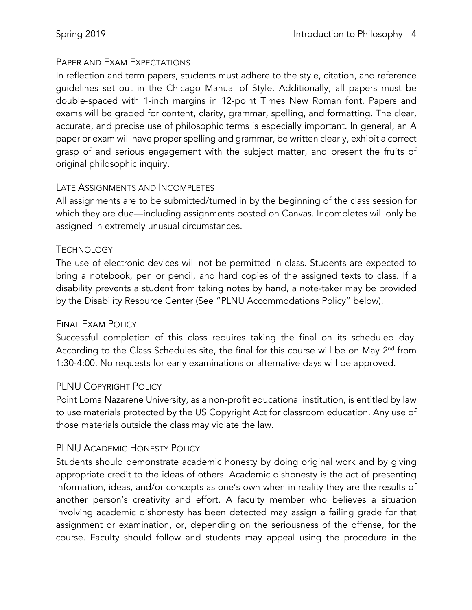### PAPER AND EXAM EXPECTATIONS

In reflection and term papers, students must adhere to the style, citation, and reference guidelines set out in the Chicago Manual of Style. Additionally, all papers must be double-spaced with 1-inch margins in 12-point Times New Roman font. Papers and exams will be graded for content, clarity, grammar, spelling, and formatting. The clear, accurate, and precise use of philosophic terms is especially important. In general, an A paper or exam will have proper spelling and grammar, be written clearly, exhibit a correct grasp of and serious engagement with the subject matter, and present the fruits of original philosophic inquiry.

### LATE ASSIGNMENTS AND INCOMPLETES

All assignments are to be submitted/turned in by the beginning of the class session for which they are due—including assignments posted on Canvas. Incompletes will only be assigned in extremely unusual circumstances.

### **TECHNOLOGY**

The use of electronic devices will not be permitted in class. Students are expected to bring a notebook, pen or pencil, and hard copies of the assigned texts to class. If a disability prevents a student from taking notes by hand, a note-taker may be provided by the Disability Resource Center (See "PLNU Accommodations Policy" below).

### FINAL EXAM POLICY

Successful completion of this class requires taking the final on its scheduled day. According to the Class Schedules site, the final for this course will be on May  $2<sup>nd</sup>$  from 1:30-4:00. No requests for early examinations or alternative days will be approved.

### PLNU COPYRIGHT POLICY

Point Loma Nazarene University, as a non-profit educational institution, is entitled by law to use materials protected by the US Copyright Act for classroom education. Any use of those materials outside the class may violate the law.

# PLNU ACADEMIC HONESTY POLICY

Students should demonstrate academic honesty by doing original work and by giving appropriate credit to the ideas of others. Academic dishonesty is the act of presenting information, ideas, and/or concepts as one's own when in reality they are the results of another person's creativity and effort. A faculty member who believes a situation involving academic dishonesty has been detected may assign a failing grade for that assignment or examination, or, depending on the seriousness of the offense, for the course. Faculty should follow and students may appeal using the procedure in the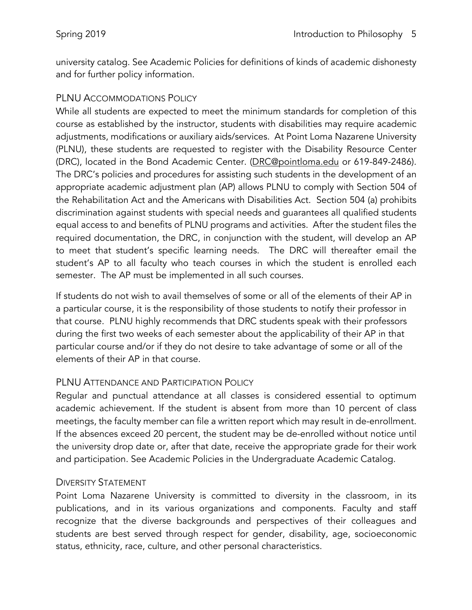university catalog. See Academic Policies for definitions of kinds of academic dishonesty and for further policy information.

### PLNU ACCOMMODATIONS POLICY

While all students are expected to meet the minimum standards for completion of this course as established by the instructor, students with disabilities may require academic adjustments, modifications or auxiliary aids/services. At Point Loma Nazarene University (PLNU), these students are requested to register with the Disability Resource Center (DRC), located in the Bond Academic Center. (DRC@pointloma.edu or 619-849-2486). The DRC's policies and procedures for assisting such students in the development of an appropriate academic adjustment plan (AP) allows PLNU to comply with Section 504 of the Rehabilitation Act and the Americans with Disabilities Act. Section 504 (a) prohibits discrimination against students with special needs and guarantees all qualified students equal access to and benefits of PLNU programs and activities. After the student files the required documentation, the DRC, in conjunction with the student, will develop an AP to meet that student's specific learning needs. The DRC will thereafter email the student's AP to all faculty who teach courses in which the student is enrolled each semester. The AP must be implemented in all such courses.

If students do not wish to avail themselves of some or all of the elements of their AP in a particular course, it is the responsibility of those students to notify their professor in that course. PLNU highly recommends that DRC students speak with their professors during the first two weeks of each semester about the applicability of their AP in that particular course and/or if they do not desire to take advantage of some or all of the elements of their AP in that course.

### PLNU ATTENDANCE AND PARTICIPATION POLICY

Regular and punctual attendance at all classes is considered essential to optimum academic achievement. If the student is absent from more than 10 percent of class meetings, the faculty member can file a written report which may result in de-enrollment. If the absences exceed 20 percent, the student may be de-enrolled without notice until the university drop date or, after that date, receive the appropriate grade for their work and participation. See Academic Policies in the Undergraduate Academic Catalog.

#### DIVERSITY STATEMENT

Point Loma Nazarene University is committed to diversity in the classroom, in its publications, and in its various organizations and components. Faculty and staff recognize that the diverse backgrounds and perspectives of their colleagues and students are best served through respect for gender, disability, age, socioeconomic status, ethnicity, race, culture, and other personal characteristics.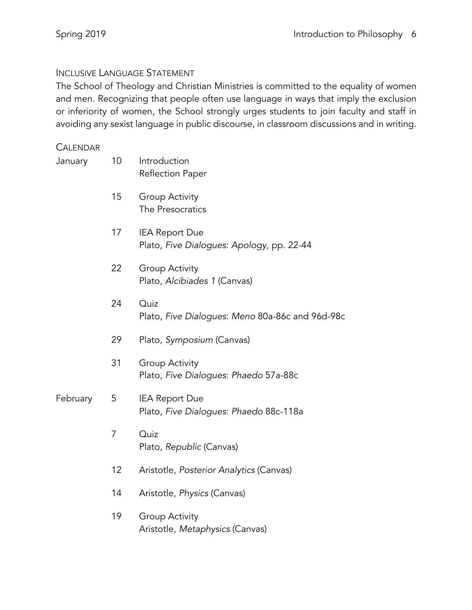### INCLUSIVE LANGUAGE STATEMENT

The School of Theology and Christian Ministries is committed to the equality of women and men. Recognizing that people often use language in ways that imply the exclusion or inferiority of women, the School strongly urges students to join faculty and staff in avoiding any sexist language in public discourse, in classroom discussions and in writing.

### **CALENDAR**

| January  | 10 | Introduction<br>Reflection Paper                                   |
|----------|----|--------------------------------------------------------------------|
|          | 15 | <b>Group Activity</b><br>The Presocratics                          |
|          | 17 | <b>IEA Report Due</b><br>Plato, Five Dialogues: Apology, pp. 22-44 |
|          | 22 | <b>Group Activity</b><br>Plato, Alcibiades 1 (Canvas)              |
|          | 24 | Quiz<br>Plato, Five Dialogues: Meno 80a-86c and 96d-98c            |
|          | 29 | Plato, Symposium (Canvas)                                          |
|          | 31 | <b>Group Activity</b><br>Plato, Five Dialogues: Phaedo 57a-88c     |
| February | 5  | <b>IEA Report Due</b><br>Plato, Five Dialogues: Phaedo 88c-118a    |
|          | 7  | Quiz<br>Plato, Republic (Canvas)                                   |
|          | 12 | Aristotle, Posterior Analytics (Canvas)                            |
|          | 14 | Aristotle, Physics (Canvas)                                        |
|          | 19 | <b>Group Activity</b><br>Aristotle, Metaphysics (Canvas)           |